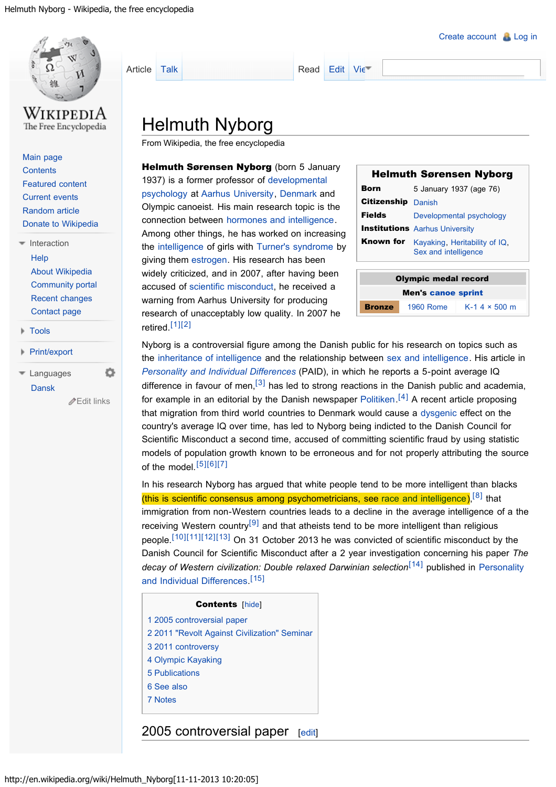<span id="page-0-0"></span>

[Main page](http://en.wikipedia.org/wiki/Main_Page) **[Contents](http://en.wikipedia.org/wiki/Portal:Contents)** [Featured content](http://en.wikipedia.org/wiki/Portal:Featured_content) [Current events](http://en.wikipedia.org/wiki/Portal:Current_events) [Random article](http://en.wikipedia.org/wiki/Special:Random) [Donate to Wikipedia](https://donate.wikimedia.org/wiki/Special:FundraiserRedirector?utm_source=donate&utm_medium=sidebar&utm_campaign=C13_en.wikipedia.org&uselang=en)

- **[Help](http://en.wikipedia.org/wiki/Help:Contents)** [About Wikipedia](http://en.wikipedia.org/wiki/Wikipedia:About) [Community portal](http://en.wikipedia.org/wiki/Wikipedia:Community_portal) [Recent changes](http://en.wikipedia.org/wiki/Special:RecentChanges) [Contact page](http://en.wikipedia.org/wiki/Wikipedia:Contact_us)  $\blacksquare$  [Interaction](#page-0-0)
- <span id="page-0-2"></span>[Tools](#page-0-0)
- [Print/export](#page-0-0)

<span id="page-0-5"></span><span id="page-0-4"></span><span id="page-0-3"></span>[Dansk](http://da.wikipedia.org/wiki/Helmuth_Nyborg) [Languages](#page-0-0)

<span id="page-0-7"></span><span id="page-0-6"></span>[Edit links](http://www.wikidata.org/wiki/Q5709847#sitelinks-wikipedia)

ö

[Article](#page-0-0) [Talk](http://en.wikipedia.org/wiki/Talk:Helmuth_Nyborg) [Read](#page-0-0) [Edit](http://en.wikipedia.org/w/index.php?title=Helmuth_Nyborg&action=edit&editintro=Template:BLP_editintro) [Vie](http://en.wikipedia.org/w/index.php?title=Helmuth_Nyborg&action=history)

# Helmuth Nyborg

From Wikipedia, the free encyclopedia

Helmuth Sørensen Nyborg (born 5 January 1937) is a former professor of [developmental](http://en.wikipedia.org/wiki/Developmental_psychology) [psychology](http://en.wikipedia.org/wiki/Developmental_psychology) at [Aarhus University,](http://en.wikipedia.org/wiki/Aarhus_University) [Denmark](http://en.wikipedia.org/wiki/Denmark) and Olympic canoeist. His main research topic is the connection between [hormones and intelligence.](http://en.wikipedia.org/wiki/Hormones_and_intelligence) Among other things, he has worked on increasing the [intelligence](http://en.wikipedia.org/wiki/Intelligence) of girls with [Turner's syndrome](http://en.wikipedia.org/wiki/Turner%27s_syndrome) by giving them [estrogen](http://en.wikipedia.org/wiki/Estrogen). His research has been widely criticized, and in 2007, after having been accused of [scientific misconduct,](http://en.wikipedia.org/wiki/Scientific_misconduct) he received a warning from Aarhus University for producing research of unacceptably low quality. In 2007 he retired.[\[1\]\[2\]](#page-3-0)

| <b>Helmuth Sørensen Nyborg</b> |           |                                                                 |  |
|--------------------------------|-----------|-----------------------------------------------------------------|--|
| Born                           |           | 5 January 1937 (age 76)                                         |  |
| <b>Citizenship Danish</b>      |           |                                                                 |  |
| <b>Fields</b>                  |           | Developmental psychology                                        |  |
|                                |           | <b>Institutions</b> Aarhus University                           |  |
|                                |           | Known for Kayaking, Heritability of IQ,<br>Sex and intelligence |  |
|                                |           |                                                                 |  |
| <b>Olympic medal record</b>    |           |                                                                 |  |
| <b>Men's canoe sprint</b>      |           |                                                                 |  |
| Bronze                         | 1960 Rome | $K-1$ 4 $\times$ 500 m                                          |  |

Nyborg is a controversial figure among the Danish public for his research on topics such as the [inheritance of intelligence](http://en.wikipedia.org/wiki/Inheritance_of_intelligence) and the relationship between [sex and intelligence.](http://en.wikipedia.org/wiki/Sex_and_intelligence) His article in *[Personality and Individual Differences](http://en.wikipedia.org/wiki/Personality_and_Individual_Differences)* (PAID), in which he reports a 5-point average IQ difference in favour of men,<sup>[\[3\]](#page-3-0)</sup> has led to strong reactions in the Danish public and academia, for example in an editorial by the Danish newspaper [Politiken.](http://en.wikipedia.org/wiki/Politiken)<sup>[\[4\]](#page-3-0)</sup> A recent article proposing that migration from third world countries to Denmark would cause a [dysgenic](http://en.wikipedia.org/wiki/Dysgenic) effect on the country's average IQ over time, has led to Nyborg being indicted to the Danish Council for Scientific Misconduct a second time, accused of committing scientific fraud by using statistic models of population growth known to be erroneous and for not properly attributing the source of the model.[\[5\]\[6\]\[7\]](#page-3-0)

<span id="page-0-8"></span>In his research Nyborg has argued that white people tend to be more intelligent than blacks (this is scientific consensus among psychometricians, see [race and intelligence\)](http://en.wikipedia.org/wiki/Race_and_intelligence),  $[8]$  that immigration from non-Western countries leads to a decline in the average intelligence of a the receiving Western country<sup>[\[9\]](#page-3-0)</sup> and that atheists tend to be more intelligent than religious people.<sup>[\[10\]\[11\]\[12\]\[13\]](#page-3-0)</sup> On 31 October 2013 he was convicted of scientific misconduct by the Danish Council for Scientific Misconduct after a 2 year investigation concerning his paper *The decay of Western civilization: Double relaxed Darwinian selection*[\[14\]](#page-3-0) published in [Personality](http://en.wikipedia.org/wiki/Personality_and_Individual_Differences) and Individual Differences<sup>[\[15\]](#page-3-0)</sup>

#### Contents [[hide\]](#page-0-0)

- <span id="page-0-10"></span><span id="page-0-9"></span>[1](#page-0-1) [2005 controversial paper](#page-0-1)
- [2](#page-1-0) [2011 "Revolt Against Civilization" Seminar](#page-1-0)
- [3](#page-1-1) [2011 controversy](#page-1-1)
- [4](#page-1-2) [Olympic Kayaking](#page-1-2)
- [5](#page-2-0) [Publications](#page-2-0)
- [6](#page-2-1) [See also](#page-2-1)
- [7](#page-2-2) [Notes](#page-2-2)

#### <span id="page-0-1"></span>2005 controversial paper [[edit\]](http://en.wikipedia.org/w/index.php?title=Helmuth_Nyborg&action=edit§ion=1&editintro=Template:BLP_editintro)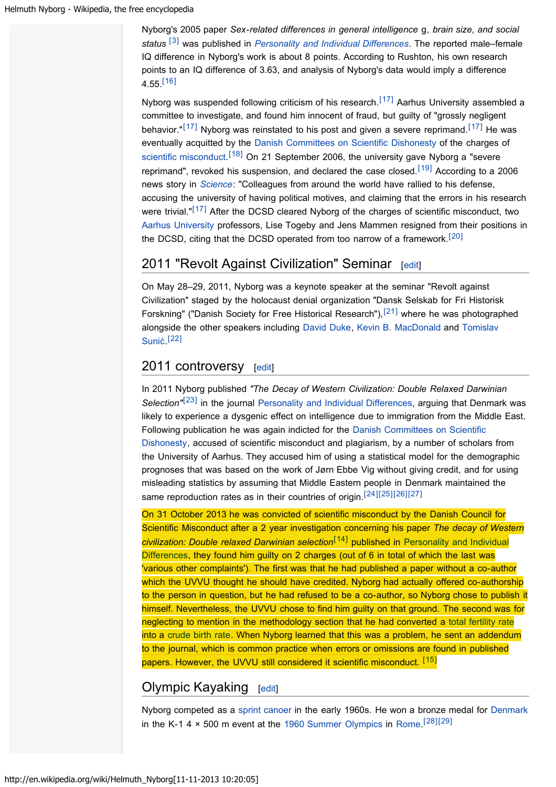<span id="page-1-3"></span>Nyborg's 2005 paper *Sex-related differences in general intelligence* g*, brain size, and social status* [\[3\]](#page-3-0) was published in *[Personality and Individual Differences](http://en.wikipedia.org/wiki/Personality_and_Individual_Differences)*. The reported male–female IQ difference in Nyborg's work is about 8 points. According to Rushton, his own research points to an IQ difference of 3.63, and analysis of Nyborg's data would imply a difference  $4.55$ <sup>[\[16\]](#page-3-0)</sup>

<span id="page-1-10"></span><span id="page-1-9"></span><span id="page-1-7"></span><span id="page-1-6"></span><span id="page-1-5"></span>Nyborg was suspended following criticism of his research.<sup>[\[17\]](#page-3-0)</sup> Aarhus University assembled a committee to investigate, and found him innocent of fraud, but guilty of "grossly negligent behavior."<sup>[\[17\]](#page-3-0)</sup> Nyborg was reinstated to his post and given a severe reprimand.<sup>[17]</sup> He was eventually acquitted by the [Danish Committees on Scientific Dishonesty](http://en.wikipedia.org/wiki/Danish_Committees_on_Scientific_Dishonesty) of the charges of [scientific misconduct.](http://en.wikipedia.org/wiki/Scientific_misconduct)<sup>[\[18\]](#page-3-0)</sup> On 21 September 2006, the university gave Nyborg a "severe reprimand", revoked his suspension, and declared the case closed.<sup>[\[19\]](#page-3-0)</sup> According to a 2006 news story in *[Science](http://en.wikipedia.org/wiki/Science_(journal))*: "Colleagues from around the world have rallied to his defense, accusing the university of having political motives, and claiming that the errors in his research were trivial."<sup>[\[17\]](#page-3-0)</sup> After the DCSD cleared Nyborg of the charges of scientific misconduct, two [Aarhus University](http://en.wikipedia.org/wiki/Aarhus_University) professors, Lise Togeby and Jens Mammen resigned from their positions in the DCSD, citing that the DCSD operated from too narrow of a framework.<sup>[\[20\]](#page-3-0)</sup>

# <span id="page-1-11"></span><span id="page-1-8"></span><span id="page-1-0"></span>2011 "Revolt Against Civilization" Seminar [[edit\]](http://en.wikipedia.org/w/index.php?title=Helmuth_Nyborg&action=edit§ion=2&editintro=Template:BLP_editintro)

<span id="page-1-12"></span>On May 28–29, 2011, Nyborg was a keynote speaker at the seminar "Revolt against Civilization" staged by the holocaust denial organization "Dansk Selskab for Fri Historisk Forskning" ("Danish Society for Free Historical Research"),<sup>[\[21\]](#page-3-0)</sup> where he was photographed alongside the other speakers including [David Duke,](http://en.wikipedia.org/wiki/David_Duke) [Kevin B. MacDonald](http://en.wikipedia.org/wiki/Kevin_B._MacDonald) and [Tomislav](http://en.wikipedia.org/wiki/Tomislav_Suni%C4%87) Sunić.<sup>[\[22\]](#page-3-0)</sup>

## <span id="page-1-13"></span><span id="page-1-1"></span>2011 controversy [[edit\]](http://en.wikipedia.org/w/index.php?title=Helmuth_Nyborg&action=edit§ion=3&editintro=Template:BLP_editintro)

<span id="page-1-14"></span>In 2011 Nyborg published *"The Decay of Western Civilization: Double Relaxed Darwinian* Selection<sup>"[\[23\]](#page-3-0)</sup> in the journal [Personality and Individual Differences](http://en.wikipedia.org/wiki/Personality_and_Individual_Differences), arguing that Denmark was likely to experience a dysgenic effect on intelligence due to immigration from the Middle East. Following publication he was again indicted for the [Danish Committees on Scientific](http://en.wikipedia.org/wiki/Danish_Committees_on_Scientific_Dishonesty) [Dishonesty,](http://en.wikipedia.org/wiki/Danish_Committees_on_Scientific_Dishonesty) accused of scientific misconduct and plagiarism, by a number of scholars from the University of Aarhus. They accused him of using a statistical model for the demographic prognoses that was based on the work of Jørn Ebbe Vig without giving credit, and for using misleading statistics by assuming that Middle Eastern people in Denmark maintained the same reproduction rates as in their countries of origin.<sup>[\[24\]\[25\]\[26\]\[27\]](#page-3-0)</sup>

<span id="page-1-17"></span><span id="page-1-15"></span>On 31 October 2013 he was convicted of scientific misconduct by the Danish Council for Scientific Misconduct after a 2 year investigation concerning his paper *The decay of Western civilization: Double relaxed Darwinian selection*[\[14\]](#page-3-0) published in [Personality and Individual](http://en.wikipedia.org/wiki/Personality_and_Individual_Differences) [Differences,](http://en.wikipedia.org/wiki/Personality_and_Individual_Differences) they found him guilty on 2 charges (out of 6 in total of which the last was 'various other complaints'). The first was that he had published a paper without a co-author which the UVVU thought he should have credited. Nyborg had actually offered co-authorship to the person in question, but he had refused to be a co-author, so Nyborg chose to publish it himself. Nevertheless, the UVVU chose to find him guilty on that ground. The second was for neglecting to mention in the methodology section that he had converted a [total fertility rate](http://en.wikipedia.org/wiki/Total_fertility_rate) into a [crude birth rate.](http://en.wikipedia.org/wiki/Crude_birth_rate) When Nyborg learned that this was a problem, he sent an addendum to the journal, which is common practice when errors or omissions are found in published papers. However, the UVVU still considered it scientific misconduct. [\[15\]](#page-3-0)

# <span id="page-1-4"></span><span id="page-1-2"></span>Olympic Kayaking [[edit\]](http://en.wikipedia.org/w/index.php?title=Helmuth_Nyborg&action=edit§ion=4&editintro=Template:BLP_editintro)

<span id="page-1-16"></span>Nyborg competed as a [sprint canoer](http://en.wikipedia.org/wiki/Canoe_racing) in the early 1960s. He won a bronze medal for [Denmark](http://en.wikipedia.org/wiki/Denmark) in the K-1 4  $\times$  500 m event at the [1960 Summer Olympics](http://en.wikipedia.org/wiki/1960_Summer_Olympics) in [Rome](http://en.wikipedia.org/wiki/Rome).<sup>[\[28\]](#page-3-0)[\[29\]](#page-3-1)</sup>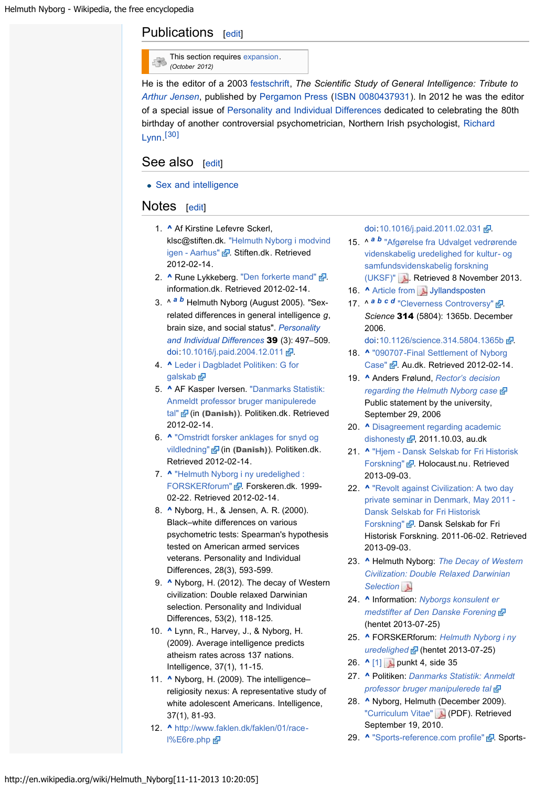# <span id="page-2-0"></span>Publications [[edit\]](http://en.wikipedia.org/w/index.php?title=Helmuth_Nyborg&action=edit§ion=5&editintro=Template:BLP_editintro)

| This section requires expansion. |
|----------------------------------|
| (October 2012)                   |

He is the editor of a 2003 [festschrift](http://en.wikipedia.org/wiki/Festschrift), *The Scientific Study of General Intelligence: Tribute to [Arthur Jensen](http://en.wikipedia.org/wiki/Arthur_Jensen)*, published by [Pergamon Press](http://en.wikipedia.org/wiki/Pergamon_Press) ([ISBN 0080437931](http://en.wikipedia.org/wiki/Special:BookSources/0080437931)). In 2012 he was the editor of a special issue of [Personality and Individual Differences](http://en.wikipedia.org/wiki/Personality_and_Individual_Differences) dedicated to celebrating the 80th birthday of another controversial psychometrician, Northern Irish psychologist, [Richard](http://en.wikipedia.org/wiki/Richard_Lynn) [Lynn.](http://en.wikipedia.org/wiki/Richard_Lynn) [\[30\]](#page-3-2)

### <span id="page-2-3"></span><span id="page-2-1"></span>See also [[edit\]](http://en.wikipedia.org/w/index.php?title=Helmuth_Nyborg&action=edit§ion=6&editintro=Template:BLP_editintro)

• [Sex and intelligence](http://en.wikipedia.org/wiki/Sex_and_intelligence)

### <span id="page-2-2"></span>Notes [[edit\]](http://en.wikipedia.org/w/index.php?title=Helmuth_Nyborg&action=edit§ion=7&editintro=Template:BLP_editintro)

- 1. [^](#page-0-2) Af Kirstine Lefevre Sckerl, klsc@stiften.dk. ["Helmuth Nyborg i modvind](http://stiften.dk/aarhus/helmuth-nyborg-i-modvind-igen) [igen - Aarhus"](http://stiften.dk/aarhus/helmuth-nyborg-i-modvind-igen) & Stiften.dk. Retrieved 2012-02-14.
- 2. [^](#page-0-2) Rune Lykkeberg. ["Den forkerte mand"](http://www.information.dk/142683) & information.dk. Retrieved 2012-02-14.
- 3. ^ *[a](#page-0-3) [b](#page-1-3)* Helmuth Nyborg (August 2005). "Sexrelated differences in general intelligence *g*, brain size, and social status". *[Personality](http://en.wikipedia.org/wiki/Personality_and_Individual_Differences) [and Individual Differences](http://en.wikipedia.org/wiki/Personality_and_Individual_Differences)* 39 (3): 497–509. [doi:](http://en.wikipedia.org/wiki/Digital_object_identifier)[10.1016/j.paid.2004.12.011](http://dx.doi.org/10.1016%2Fj.paid.2004.12.011) ...
- 4. [^](#page-0-4) [Leder i Dagbladet Politiken: G for](http://politiken.dk/debat/ledere/article81143.ece) [galskab](http://politiken.dk/debat/ledere/article81143.ece)<sub>r</sub>
- 5. [^](#page-0-5) AF Kasper Iversen. ["Danmarks Statistik:](http://politiken.dk/videnskab/ECE1399421/danmarks-statistik-anmeldt-professor-bruger-manipulerede-tal/) [Anmeldt professor bruger manipulerede](http://politiken.dk/videnskab/ECE1399421/danmarks-statistik-anmeldt-professor-bruger-manipulerede-tal/) [tal"](http://politiken.dk/videnskab/ECE1399421/danmarks-statistik-anmeldt-professor-bruger-manipulerede-tal/) **&** (in (Danish)). Politiken.dk. Retrieved 2012-02-14.
- 6. [^](#page-0-5) ["Omstridt forsker anklages for snyd og](http://politiken.dk/videnskab/ECE1397522/omstridt-forsker-anklages-for-snyd-og-vildledning/) [vildledning"](http://politiken.dk/videnskab/ECE1397522/omstridt-forsker-anklages-for-snyd-og-vildledning/) **&** (in (Danish)). Politiken.dk. Retrieved 2012-02-14.
- 7. [^](#page-0-5) ["Helmuth Nyborg i ny uredelighed :](http://www.forskeren.dk/?p=1806) [FORSKERforum"](http://www.forskeren.dk/?p=1806) **.** Forskeren.dk. 1999-02-22. Retrieved 2012-02-14.
- 8. [^](#page-0-6) Nyborg, H., & Jensen, A. R. (2000). Black–white differences on various psychometric tests: Spearman's hypothesis tested on American armed services veterans. Personality and Individual Differences, 28(3), 593-599.
- 9. [^](#page-0-7) Nyborg, H. (2012). The decay of Western civilization: Double relaxed Darwinian selection. Personality and Individual Differences, 53(2), 118-125.
- 10. [^](#page-0-8) Lynn, R., Harvey, J., & Nyborg, H. (2009). Average intelligence predicts atheism rates across 137 nations. Intelligence, 37(1), 11-15.
- 11. [^](#page-0-8) Nyborg, H. (2009). The intelligencereligiosity nexus: A representative study of white adolescent Americans. Intelligence, 37(1), 81-93.
- 12. [^](#page-0-8) [http://www.faklen.dk/faklen/01/race](http://www.faklen.dk/faklen/01/race-l%E6re.php)[l%E6re.php](http://www.faklen.dk/faklen/01/race-l%E6re.php) d

[doi](http://en.wikipedia.org/wiki/Digital_object_identifier):[10.1016/j.paid.2011.02.031](http://dx.doi.org/10.1016%2Fj.paid.2011.02.031) .

- 15. ^ *[a](#page-0-9) [b](#page-1-4)* ["Afgørelse fra Udvalget vedrørende](http://emilkirkegaard.dk/da/wp-content/uploads/Nyborg-sag2-UVVU-afg%C3%B8relse.pdf) [videnskabelig uredelighed for kultur- og](http://emilkirkegaard.dk/da/wp-content/uploads/Nyborg-sag2-UVVU-afg%C3%B8relse.pdf) [samfundsvidenskabelig forskning](http://emilkirkegaard.dk/da/wp-content/uploads/Nyborg-sag2-UVVU-afg%C3%B8relse.pdf) [\(UKSF\)"](http://emilkirkegaard.dk/da/wp-content/uploads/Nyborg-sag2-UVVU-afg%C3%B8relse.pdf) . Retrieved 8 November 2013.
- 16. [^](#page-1-5) [Article from](http://www.bioxray.dk/~mok/eugenik/jp_20060820.pdf) J[Jyllandsposten](http://en.wikipedia.org/wiki/Jyllandsposten)
- 17. A <sup>[a](#page-1-6) [b](#page-1-7) [c](#page-1-7) [d](#page-1-8)</sup> ["Cleverness Controversy"](http://www.sciencemag.org/content/vol314/issue5804/newsmakers.dtl) **.** *Science* 314 (5804): 1365b. December 2006.
	- [doi:](http://en.wikipedia.org/wiki/Digital_object_identifier) [10.1126/science.314.5804.1365b](http://dx.doi.org/10.1126%2Fscience.314.5804.1365b) .
- 18. [^](#page-1-9) ["090707-Final Settlement of Nyborg](http://www.au.dk/en/about/news/oldnews/2007/090707/) [Case"](http://www.au.dk/en/about/news/oldnews/2007/090707/) & Au.dk. Retrieved 2012-02-14.
- 19. [^](#page-1-10) Anders Frølund, *[Rector's decision](http://www.au.dk/en/news/210906a) [regarding the Helmuth Nyborg case](http://www.au.dk/en/news/210906a)* Public statement by the university, September 29, 2006
- 20. A [Disagreement regarding academic](http://www.au.dk/en/univers/campuslife/campuslife2007/dishonesty/) [dishonesty](http://www.au.dk/en/univers/campuslife/campuslife2007/dishonesty/)  $\frac{d}{dx}$ , 2011.10.03, au.dk
- 21. [^](#page-1-12) ["Hjem Dansk Selskab for Fri Historisk](http://web.archive.org/web/20121015030014/http://www.holocaust.nu/) [Forskning"](http://web.archive.org/web/20121015030014/http://www.holocaust.nu/) & Holocaust.nu. Retrieved 2013-09-03.
- 22. [^](#page-1-13) ["Revolt against Civilization: A two day](http://web.archive.org/web/20110817032655/http://www.dsfhf.dk/nyheder/2011/06/revolt-against-civilization-a-two-day-private-seminar-in-denmark,-may-2011) [private seminar in Denmark, May 2011 -](http://web.archive.org/web/20110817032655/http://www.dsfhf.dk/nyheder/2011/06/revolt-against-civilization-a-two-day-private-seminar-in-denmark,-may-2011) [Dansk Selskab for Fri Historisk](http://web.archive.org/web/20110817032655/http://www.dsfhf.dk/nyheder/2011/06/revolt-against-civilization-a-two-day-private-seminar-in-denmark,-may-2011) [Forskning"](http://web.archive.org/web/20110817032655/http://www.dsfhf.dk/nyheder/2011/06/revolt-against-civilization-a-two-day-private-seminar-in-denmark,-may-2011) & Dansk Selskab for Fri Historisk Forskning. 2011-06-02. Retrieved 2013-09-03.
- 23. [^](#page-1-14) Helmuth Nyborg: *[The Decay of Western](http://lesacreduprintemps19.files.wordpress.com/2011/04/nyborg-2011-the-decay-of-western-civilization-double-relaxed-darwinian-selection.pdf) [Civilization: Double Relaxed Darwinian](http://lesacreduprintemps19.files.wordpress.com/2011/04/nyborg-2011-the-decay-of-western-civilization-double-relaxed-darwinian-selection.pdf) [Selection](http://lesacreduprintemps19.files.wordpress.com/2011/04/nyborg-2011-the-decay-of-western-civilization-double-relaxed-darwinian-selection.pdf)*
- 24. [^](#page-1-15) Information: *[Nyborgs konsulent er](http://www.information.dk/279906) [medstifter af Den Danske Forening](http://www.information.dk/279906)* (hentet 2013-07-25)
- 25. [^](#page-1-15) FORSKERforum: *[Helmuth Nyborg i ny](http://www.forskeren.dk/?p=1806) [uredelighed](http://www.forskeren.dk/?p=1806)* (hentet 2013-07-25)
- 26. [^](#page-1-15) [\[1\]](http://fivu.dk/publikationer/2009/filer-2009/uvvu-vejledninger-gvp-2009.pdf) punkt 4, side 35
- 27. [^](#page-1-15) Politiken: *[Danmarks Statistik: Anmeldt](http://politiken.dk/videnskab/ECE1399421/danmarks-statistik-anmeldt-professor-bruger-manipulerede-tal/) [professor bruger manipulerede tal](http://politiken.dk/videnskab/ECE1399421/danmarks-statistik-anmeldt-professor-bruger-manipulerede-tal/)*
- 28. [^](#page-1-16) Nyborg, Helmuth (December 2009). ["Curriculum Vitae"](http://www.helmuthnyborg.dk/Curriculum-Vitae/CV-December-2009.pdf) (PDF). Retrieved September 19, 2010.
- 29. [^](#page-1-16) ["Sports-reference.com profile"](http://www.sports-reference.com/olympics/athletes/so/helmuth-nyborg-sorensen-1.html) ? Sports-